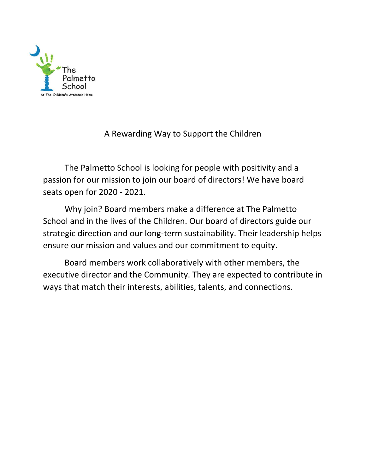

A Rewarding Way to Support the Children

The Palmetto School is looking for people with positivity and a passion for our mission to join our board of directors! We have board seats open for 2020 - 2021.

Why join? Board members make a difference at The Palmetto School and in the lives of the Children. Our board of directors guide our strategic direction and our long-term sustainability. Their leadership helps ensure our mission and values and our commitment to equity.

Board members work collaboratively with other members, the executive director and the Community. They are expected to contribute in ways that match their interests, abilities, talents, and connections.